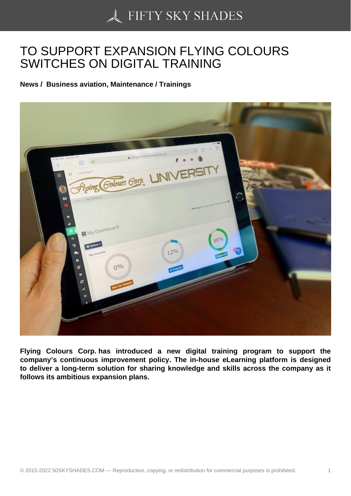## [TO SUPPORT EXPAN](https://50skyshades.com)SION FLYING COLOURS SWITCHES ON DIGITAL TRAINING

News / Business aviation, Maintenance / Trainings

Flying Colours Corp. has introduced a new digital training program to support the company's continuous improvement policy. The in-house eLearning platform is designed to deliver a long-term solution for sharing knowledge and skills across the company as it follows its ambitious expansion plans.